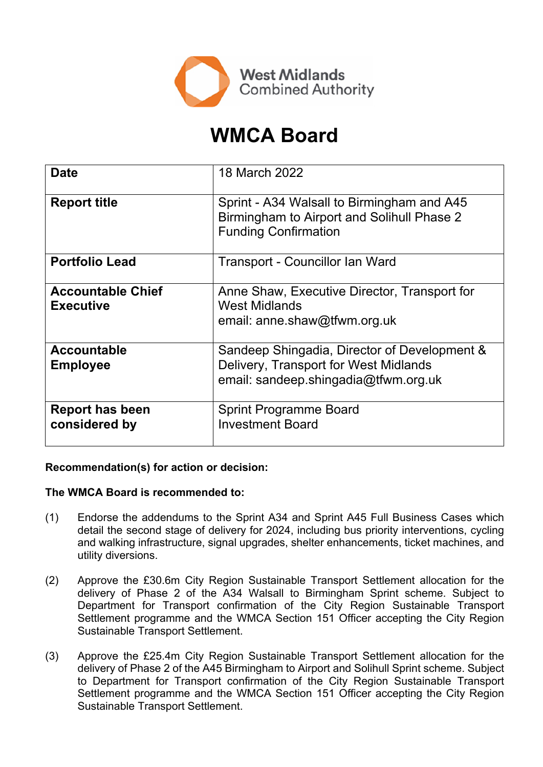

# **WMCA Board**

| <b>Date</b>                                  | 18 March 2022                                                                                                                 |  |  |
|----------------------------------------------|-------------------------------------------------------------------------------------------------------------------------------|--|--|
| <b>Report title</b>                          | Sprint - A34 Walsall to Birmingham and A45<br>Birmingham to Airport and Solihull Phase 2<br><b>Funding Confirmation</b>       |  |  |
| <b>Portfolio Lead</b>                        | Transport - Councillor Ian Ward                                                                                               |  |  |
| <b>Accountable Chief</b><br><b>Executive</b> | Anne Shaw, Executive Director, Transport for<br><b>West Midlands</b><br>email: anne.shaw@tfwm.org.uk                          |  |  |
| <b>Accountable</b><br><b>Employee</b>        | Sandeep Shingadia, Director of Development &<br>Delivery, Transport for West Midlands<br>email: sandeep.shingadia@tfwm.org.uk |  |  |
| <b>Report has been</b><br>considered by      | <b>Sprint Programme Board</b><br><b>Investment Board</b>                                                                      |  |  |

## **Recommendation(s) for action or decision:**

#### **The WMCA Board is recommended to:**

- (1) Endorse the addendums to the Sprint A34 and Sprint A45 Full Business Cases which detail the second stage of delivery for 2024, including bus priority interventions, cycling and walking infrastructure, signal upgrades, shelter enhancements, ticket machines, and utility diversions.
- (2) Approve the £30.6m City Region Sustainable Transport Settlement allocation for the delivery of Phase 2 of the A34 Walsall to Birmingham Sprint scheme. Subject to Department for Transport confirmation of the City Region Sustainable Transport Settlement programme and the WMCA Section 151 Officer accepting the City Region Sustainable Transport Settlement.
- (3) Approve the £25.4m City Region Sustainable Transport Settlement allocation for the delivery of Phase 2 of the A45 Birmingham to Airport and Solihull Sprint scheme. Subject to Department for Transport confirmation of the City Region Sustainable Transport Settlement programme and the WMCA Section 151 Officer accepting the City Region Sustainable Transport Settlement.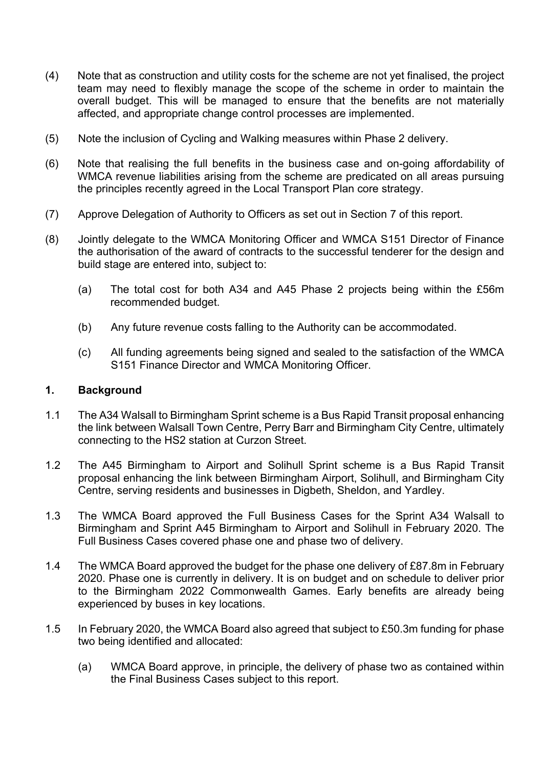- (4) Note that as construction and utility costs for the scheme are not yet finalised, the project team may need to flexibly manage the scope of the scheme in order to maintain the overall budget. This will be managed to ensure that the benefits are not materially affected, and appropriate change control processes are implemented.
- (5) Note the inclusion of Cycling and Walking measures within Phase 2 delivery.
- (6) Note that realising the full benefits in the business case and on-going affordability of WMCA revenue liabilities arising from the scheme are predicated on all areas pursuing the principles recently agreed in the Local Transport Plan core strategy.
- (7) Approve Delegation of Authority to Officers as set out in Section 7 of this report.
- (8) Jointly delegate to the WMCA Monitoring Officer and WMCA S151 Director of Finance the authorisation of the award of contracts to the successful tenderer for the design and build stage are entered into, subject to:
	- (a) The total cost for both A34 and A45 Phase 2 projects being within the £56m recommended budget.
	- (b) Any future revenue costs falling to the Authority can be accommodated.
	- (c) All funding agreements being signed and sealed to the satisfaction of the WMCA S151 Finance Director and WMCA Monitoring Officer.

#### **1. Background**

- 1.1 The A34 Walsall to Birmingham Sprint scheme is a Bus Rapid Transit proposal enhancing the link between Walsall Town Centre, Perry Barr and Birmingham City Centre, ultimately connecting to the HS2 station at Curzon Street.
- 1.2 The A45 Birmingham to Airport and Solihull Sprint scheme is a Bus Rapid Transit proposal enhancing the link between Birmingham Airport, Solihull, and Birmingham City Centre, serving residents and businesses in Digbeth, Sheldon, and Yardley.
- 1.3 The WMCA Board approved the Full Business Cases for the Sprint A34 Walsall to Birmingham and Sprint A45 Birmingham to Airport and Solihull in February 2020. The Full Business Cases covered phase one and phase two of delivery.
- 1.4 The WMCA Board approved the budget for the phase one delivery of £87.8m in February 2020. Phase one is currently in delivery. It is on budget and on schedule to deliver prior to the Birmingham 2022 Commonwealth Games. Early benefits are already being experienced by buses in key locations.
- 1.5 In February 2020, the WMCA Board also agreed that subject to £50.3m funding for phase two being identified and allocated:
	- (a) WMCA Board approve, in principle, the delivery of phase two as contained within the Final Business Cases subject to this report.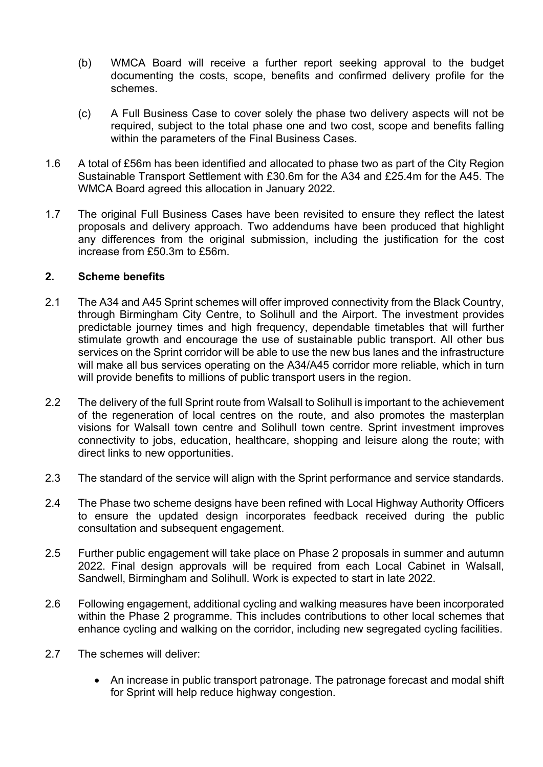- (b) WMCA Board will receive a further report seeking approval to the budget documenting the costs, scope, benefits and confirmed delivery profile for the schemes.
- (c) A Full Business Case to cover solely the phase two delivery aspects will not be required, subject to the total phase one and two cost, scope and benefits falling within the parameters of the Final Business Cases.
- 1.6 A total of £56m has been identified and allocated to phase two as part of the City Region Sustainable Transport Settlement with £30.6m for the A34 and £25.4m for the A45. The WMCA Board agreed this allocation in January 2022.
- 1.7 The original Full Business Cases have been revisited to ensure they reflect the latest proposals and delivery approach. Two addendums have been produced that highlight any differences from the original submission, including the justification for the cost increase from £50.3m to £56m.

#### **2. Scheme benefits**

- 2.1 The A34 and A45 Sprint schemes will offer improved connectivity from the Black Country, through Birmingham City Centre, to Solihull and the Airport. The investment provides predictable journey times and high frequency, dependable timetables that will further stimulate growth and encourage the use of sustainable public transport. All other bus services on the Sprint corridor will be able to use the new bus lanes and the infrastructure will make all bus services operating on the A34/A45 corridor more reliable, which in turn will provide benefits to millions of public transport users in the region.
- 2.2 The delivery of the full Sprint route from Walsall to Solihull is important to the achievement of the regeneration of local centres on the route, and also promotes the masterplan visions for Walsall town centre and Solihull town centre. Sprint investment improves connectivity to jobs, education, healthcare, shopping and leisure along the route; with direct links to new opportunities.
- 2.3 The standard of the service will align with the Sprint performance and service standards.
- 2.4 The Phase two scheme designs have been refined with Local Highway Authority Officers to ensure the updated design incorporates feedback received during the public consultation and subsequent engagement.
- 2.5 Further public engagement will take place on Phase 2 proposals in summer and autumn 2022. Final design approvals will be required from each Local Cabinet in Walsall, Sandwell, Birmingham and Solihull. Work is expected to start in late 2022.
- 2.6 Following engagement, additional cycling and walking measures have been incorporated within the Phase 2 programme. This includes contributions to other local schemes that enhance cycling and walking on the corridor, including new segregated cycling facilities.
- 2.7 The schemes will deliver:
	- An increase in public transport patronage. The patronage forecast and modal shift for Sprint will help reduce highway congestion.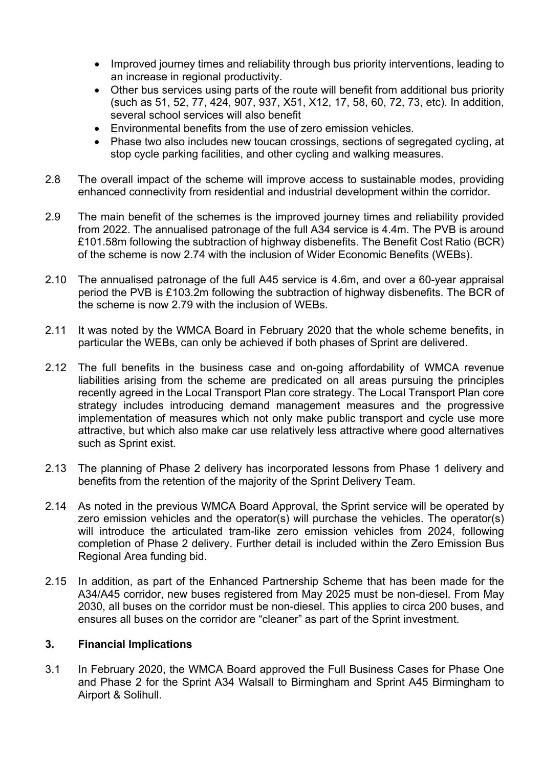- Improved journey times and reliability through bus priority interventions, leading to an increase in regional productivity.
- Other bus services using parts of the route will benefit from additional bus priority (such as 51, 52, 77, 424, 907, 937, X51, X12, 17, 58, 60, 72, 73, etc). In addition, several school services will also benefit
- Environmental benefits from the use of zero emission vehicles.
- Phase two also includes new toucan crossings, sections of segregated cycling, at stop cycle parking facilities, and other cycling and walking measures.
- 2.8 The overall impact of the scheme will improve access to sustainable modes, providing enhanced connectivity from residential and industrial development within the corridor.
- 2.9 The main benefit of the schemes is the improved journey times and reliability provided from 2022. The annualised patronage of the full A34 service is 4.4m. The PVB is around £101.58m following the subtraction of highway disbenefits. The Benefit Cost Ratio (BCR) of the scheme is now 2.74 with the inclusion of Wider Economic Benefits (WEBs).
- 2.10 The annualised patronage of the full A45 service is 4.6m, and over a 60-year appraisal period the PVB is £103.2m following the subtraction of highway disbenefits. The BCR of the scheme is now 2.79 with the inclusion of WEBs.
- 2.11 It was noted by the WMCA Board in February 2020 that the whole scheme benefits, in particular the WEBs, can only be achieved if both phases of Sprint are delivered.
- 2.12 The full benefits in the business case and on-going affordability of WMCA revenue liabilities arising from the scheme are predicated on all areas pursuing the principles recently agreed in the Local Transport Plan core strategy. The Local Transport Plan core strategy includes introducing demand management measures and the progressive implementation of measures which not only make public transport and cycle use more attractive, but which also make car use relatively less attractive where good alternatives such as Sprint exist.
- 2.13 The planning of Phase 2 delivery has incorporated lessons from Phase 1 delivery and benefits from the retention of the majority of the Sprint Delivery Team.
- 2.14 As noted in the previous WMCA Board Approval, the Sprint service will be operated by zero emission vehicles and the operator(s) will purchase the vehicles. The operator(s) will introduce the articulated tram-like zero emission vehicles from 2024, following completion of Phase 2 delivery. Further detail is included within the Zero Emission Bus Regional Area funding bid.
- 2.15 In addition, as part of the Enhanced Partnership Scheme that has been made for the A34/A45 corridor, new buses registered from May 2025 must be non-diesel. From May 2030, all buses on the corridor must be non-diesel. This applies to circa 200 buses, and ensures all buses on the corridor are "cleaner" as part of the Sprint investment.

#### **3. Financial Implications**

3.1 In February 2020, the WMCA Board approved the Full Business Cases for Phase One and Phase 2 for the Sprint A34 Walsall to Birmingham and Sprint A45 Birmingham to Airport & Solihull.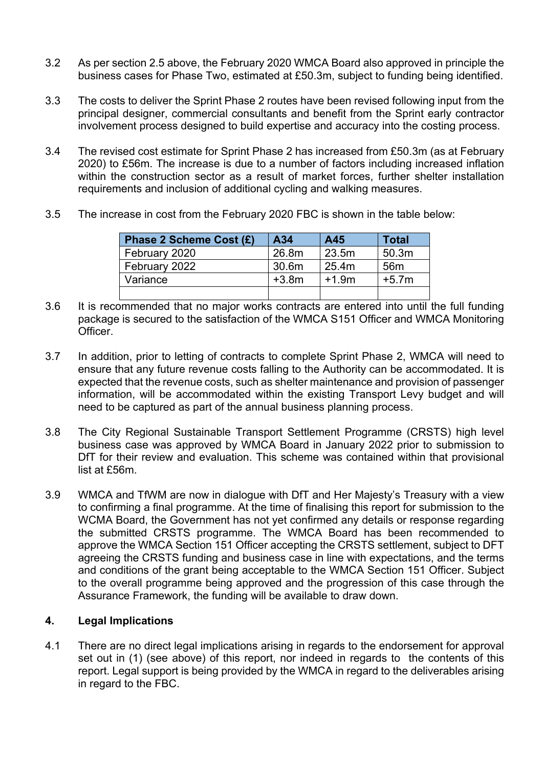- 3.2 As per section 2.5 above, the February 2020 WMCA Board also approved in principle the business cases for Phase Two, estimated at £50.3m, subject to funding being identified.
- 3.3 The costs to deliver the Sprint Phase 2 routes have been revised following input from the principal designer, commercial consultants and benefit from the Sprint early contractor involvement process designed to build expertise and accuracy into the costing process.
- 3.4 The revised cost estimate for Sprint Phase 2 has increased from £50.3m (as at February 2020) to £56m. The increase is due to a number of factors including increased inflation within the construction sector as a result of market forces, further shelter installation requirements and inclusion of additional cycling and walking measures.
- 3.5 The increase in cost from the February 2020 FBC is shown in the table below:

| Phase 2 Scheme Cost (£) | A34     | A45     | Total           |
|-------------------------|---------|---------|-----------------|
| February 2020           | 26.8m   | 23.5m   | 50.3m           |
| February 2022           | 30.6m   | 25.4m   | 56 <sub>m</sub> |
| Variance                | $+3.8m$ | $+1.9m$ | $+5.7m$         |
|                         |         |         |                 |

- 3.6 It is recommended that no major works contracts are entered into until the full funding package is secured to the satisfaction of the WMCA S151 Officer and WMCA Monitoring Officer.
- 3.7 In addition, prior to letting of contracts to complete Sprint Phase 2, WMCA will need to ensure that any future revenue costs falling to the Authority can be accommodated. It is expected that the revenue costs, such as shelter maintenance and provision of passenger information, will be accommodated within the existing Transport Levy budget and will need to be captured as part of the annual business planning process.
- 3.8 The City Regional Sustainable Transport Settlement Programme (CRSTS) high level business case was approved by WMCA Board in January 2022 prior to submission to DfT for their review and evaluation. This scheme was contained within that provisional list at £56m.
- 3.9 WMCA and TfWM are now in dialogue with DfT and Her Majesty's Treasury with a view to confirming a final programme. At the time of finalising this report for submission to the WCMA Board, the Government has not yet confirmed any details or response regarding the submitted CRSTS programme. The WMCA Board has been recommended to approve the WMCA Section 151 Officer accepting the CRSTS settlement, subject to DFT agreeing the CRSTS funding and business case in line with expectations, and the terms and conditions of the grant being acceptable to the WMCA Section 151 Officer. Subject to the overall programme being approved and the progression of this case through the Assurance Framework, the funding will be available to draw down.

## **4. Legal Implications**

4.1 There are no direct legal implications arising in regards to the endorsement for approval set out in (1) (see above) of this report, nor indeed in regards to the contents of this report. Legal support is being provided by the WMCA in regard to the deliverables arising in regard to the FBC.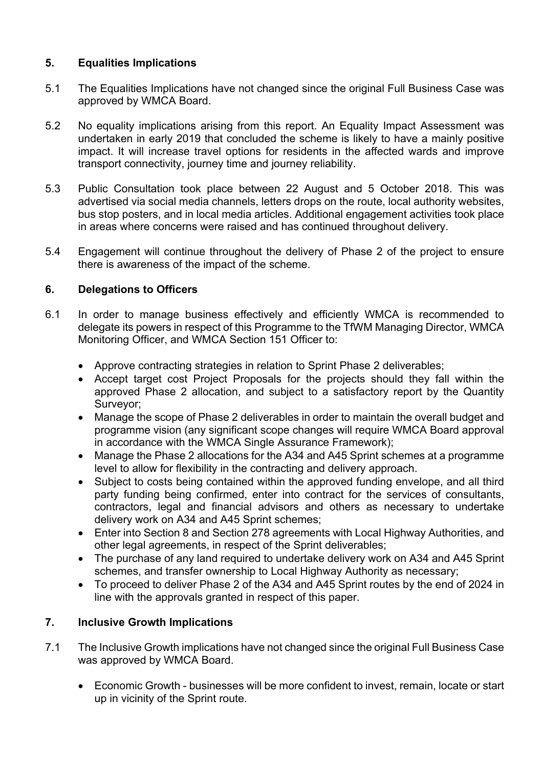## **5. Equalities Implications**

- 5.1 The Equalities Implications have not changed since the original Full Business Case was approved by WMCA Board.
- 5.2 No equality implications arising from this report. An Equality Impact Assessment was undertaken in early 2019 that concluded the scheme is likely to have a mainly positive impact. It will increase travel options for residents in the affected wards and improve transport connectivity, journey time and journey reliability.
- 5.3 Public Consultation took place between 22 August and 5 October 2018. This was advertised via social media channels, letters drops on the route, local authority websites, bus stop posters, and in local media articles. Additional engagement activities took place in areas where concerns were raised and has continued throughout delivery.
- 5.4 Engagement will continue throughout the delivery of Phase 2 of the project to ensure there is awareness of the impact of the scheme.

## **6. Delegations to Officers**

- 6.1 In order to manage business effectively and efficiently WMCA is recommended to delegate its powers in respect of this Programme to the TfWM Managing Director, WMCA Monitoring Officer, and WMCA Section 151 Officer to:
	- Approve contracting strategies in relation to Sprint Phase 2 deliverables;
	- Accept target cost Project Proposals for the projects should they fall within the approved Phase 2 allocation, and subject to a satisfactory report by the Quantity Surveyor;
	- Manage the scope of Phase 2 deliverables in order to maintain the overall budget and programme vision (any significant scope changes will require WMCA Board approval in accordance with the WMCA Single Assurance Framework);
	- Manage the Phase 2 allocations for the A34 and A45 Sprint schemes at a programme level to allow for flexibility in the contracting and delivery approach.
	- Subject to costs being contained within the approved funding envelope, and all third party funding being confirmed, enter into contract for the services of consultants, contractors, legal and financial advisors and others as necessary to undertake delivery work on A34 and A45 Sprint schemes;
	- Enter into Section 8 and Section 278 agreements with Local Highway Authorities, and other legal agreements, in respect of the Sprint deliverables;
	- The purchase of any land required to undertake delivery work on A34 and A45 Sprint schemes, and transfer ownership to Local Highway Authority as necessary;
	- To proceed to deliver Phase 2 of the A34 and A45 Sprint routes by the end of 2024 in line with the approvals granted in respect of this paper.

## **7. Inclusive Growth Implications**

- 7.1 The Inclusive Growth implications have not changed since the original Full Business Case was approved by WMCA Board.
	- Economic Growth businesses will be more confident to invest, remain, locate or start up in vicinity of the Sprint route.